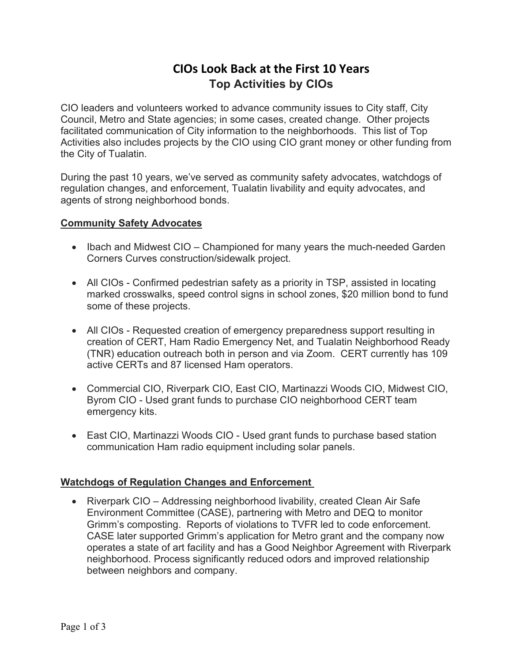# **CIOs Look Back at the First 10 Years Top Activities by CIOs**

CIO leaders and volunteers worked to advance community issues to City staff, City Council, Metro and State agencies; in some cases, created change. Other projects facilitated communication of City information to the neighborhoods. This list of Top Activities also includes projects by the CIO using CIO grant money or other funding from the City of Tualatin.

During the past 10 years, we've served as community safety advocates, watchdogs of regulation changes, and enforcement, Tualatin livability and equity advocates, and agents of strong neighborhood bonds.

#### **Community Safety Advocates**

- Ibach and Midwest CIO Championed for many years the much-needed Garden Corners Curves construction/sidewalk project.
- All CIOs Confirmed pedestrian safety as a priority in TSP, assisted in locating marked crosswalks, speed control signs in school zones, \$20 million bond to fund some of these projects.
- All CIOs Requested creation of emergency preparedness support resulting in creation of CERT, Ham Radio Emergency Net, and Tualatin Neighborhood Ready (TNR) education outreach both in person and via Zoom. CERT currently has 109 active CERTs and 87 licensed Ham operators.
- Commercial CIO, Riverpark CIO, East CIO, Martinazzi Woods CIO, Midwest CIO, Byrom CIO - Used grant funds to purchase CIO neighborhood CERT team emergency kits.
- East CIO, Martinazzi Woods CIO Used grant funds to purchase based station communication Ham radio equipment including solar panels.

### **Watchdogs of Regulation Changes and Enforcement**

• Riverpark CIO – Addressing neighborhood livability, created Clean Air Safe Environment Committee (CASE), partnering with Metro and DEQ to monitor Grimm's composting. Reports of violations to TVFR led to code enforcement. CASE later supported Grimm's application for Metro grant and the company now operates a state of art facility and has a Good Neighbor Agreement with Riverpark neighborhood. Process significantly reduced odors and improved relationship between neighbors and company.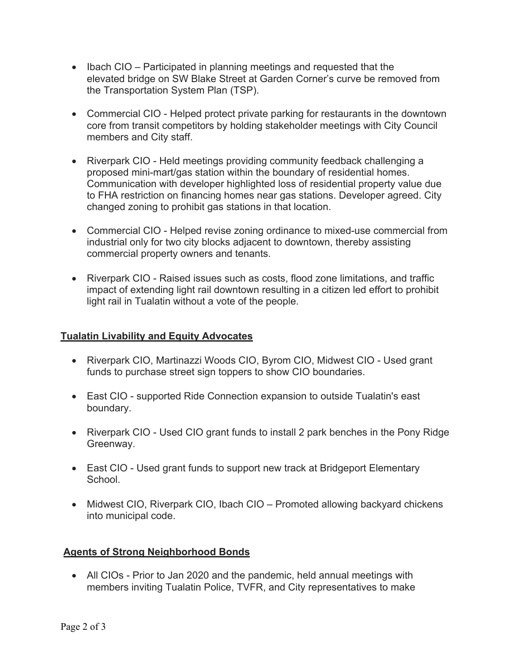- Ibach CIO Participated in planning meetings and requested that the elevated bridge on SW Blake Street at Garden Corner's curve be removed from the Transportation System Plan (TSP).
- Commercial CIO Helped protect private parking for restaurants in the downtown core from transit competitors by holding stakeholder meetings with City Council members and City staff.
- Riverpark CIO Held meetings providing community feedback challenging a proposed mini-mart/gas station within the boundary of residential homes. Communication with developer highlighted loss of residential property value due to FHA restriction on financing homes near gas stations. Developer agreed. City changed zoning to prohibit gas stations in that location.
- Commercial CIO Helped revise zoning ordinance to mixed-use commercial from industrial only for two city blocks adjacent to downtown, thereby assisting commercial property owners and tenants.
- Riverpark CIO Raised issues such as costs, flood zone limitations, and traffic impact of extending light rail downtown resulting in a citizen led effort to prohibit light rail in Tualatin without a vote of the people.

## **Tualatin Livability and Equity Advocates**

- Riverpark CIO, Martinazzi Woods CIO, Byrom CIO, Midwest CIO Used grant funds to purchase street sign toppers to show CIO boundaries.
- East CIO supported Ride Connection expansion to outside Tualatin's east boundary.
- Riverpark CIO Used CIO grant funds to install 2 park benches in the Pony Ridge Greenway.
- East CIO Used grant funds to support new track at Bridgeport Elementary School.
- Midwest CIO, Riverpark CIO, Ibach CIO Promoted allowing backyard chickens into municipal code.

## **Agents of Strong Neighborhood Bonds**

• All CIOs - Prior to Jan 2020 and the pandemic, held annual meetings with members inviting Tualatin Police, TVFR, and City representatives to make